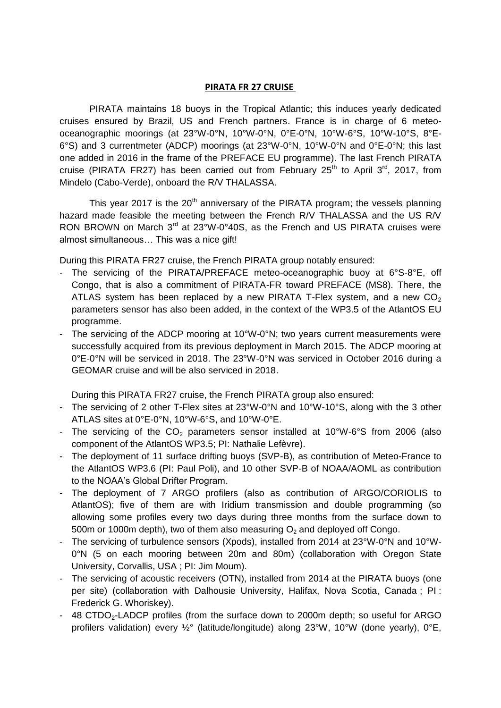## **PIRATA FR 27 CRUISE**

PIRATA maintains 18 buoys in the Tropical Atlantic; this induces yearly dedicated cruises ensured by Brazil, US and French partners. France is in charge of 6 meteooceanographic moorings (at 23°W-0°N, 10°W-0°N, 0°E-0°N, 10°W-6°S, 10°W-10°S, 8°E-6°S) and 3 currentmeter (ADCP) moorings (at 23°W-0°N, 10°W-0°N and 0°E-0°N; this last one added in 2016 in the frame of the PREFACE EU programme). The last French PIRATA cruise (PIRATA FR27) has been carried out from February 25<sup>th</sup> to April 3<sup>rd</sup>, 2017, from Mindelo (Cabo-Verde), onboard the R/V THALASSA.

This year 2017 is the 20<sup>th</sup> anniversary of the PIRATA program; the vessels planning hazard made feasible the meeting between the French R/V THALASSA and the US R/V RON BROWN on March 3<sup>rd</sup> at 23°W-0°40S, as the French and US PIRATA cruises were almost simultaneous… This was a nice gift!

During this PIRATA FR27 cruise, the French PIRATA group notably ensured:

- The servicing of the PIRATA/PREFACE meteo-oceanographic buoy at 6°S-8°E, off Congo, that is also a commitment of PIRATA-FR toward PREFACE (MS8). There, the ATLAS system has been replaced by a new PIRATA T-Flex system, and a new  $CO<sub>2</sub>$ parameters sensor has also been added, in the context of the WP3.5 of the AtlantOS EU programme.
- The servicing of the ADCP mooring at 10°W-0°N; two years current measurements were successfully acquired from its previous deployment in March 2015. The ADCP mooring at 0°E-0°N will be serviced in 2018. The 23°W-0°N was serviced in October 2016 during a GEOMAR cruise and will be also serviced in 2018.

During this PIRATA FR27 cruise, the French PIRATA group also ensured:

- The servicing of 2 other T-Flex sites at 23°W-0°N and 10°W-10°S, along with the 3 other ATLAS sites at 0°E-0°N, 10°W-6°S, and 10°W-0°E.
- The servicing of the  $CO<sub>2</sub>$  parameters sensor installed at 10°W-6°S from 2006 (also component of the AtlantOS WP3.5; PI: Nathalie Lefèvre).
- The deployment of 11 surface drifting buoys (SVP-B), as contribution of Meteo-France to the AtlantOS WP3.6 (PI: Paul Poli), and 10 other SVP-B of NOAA/AOML as contribution to the NOAA's Global Drifter Program.
- The deployment of 7 ARGO profilers (also as contribution of ARGO/CORIOLIS to AtlantOS); five of them are with Iridium transmission and double programming (so allowing some profiles every two days during three months from the surface down to 500m or 1000m depth), two of them also measuring  $O<sub>2</sub>$  and deployed off Congo.
- The servicing of turbulence sensors (Xpods), installed from 2014 at 23°W-0°N and 10°W-0°N (5 on each mooring between 20m and 80m) (collaboration with Oregon State University, Corvallis, USA ; PI: Jim Moum).
- The servicing of acoustic receivers (OTN), installed from 2014 at the PIRATA buoys (one per site) (collaboration with Dalhousie University, Halifax, Nova Scotia, Canada ; PI : Frederick G. Whoriskey).
- 48 CTDO<sub>2</sub>-LADCP profiles (from the surface down to 2000m depth; so useful for ARGO profilers validation) every ½° (latitude/longitude) along 23°W, 10°W (done yearly), 0°E,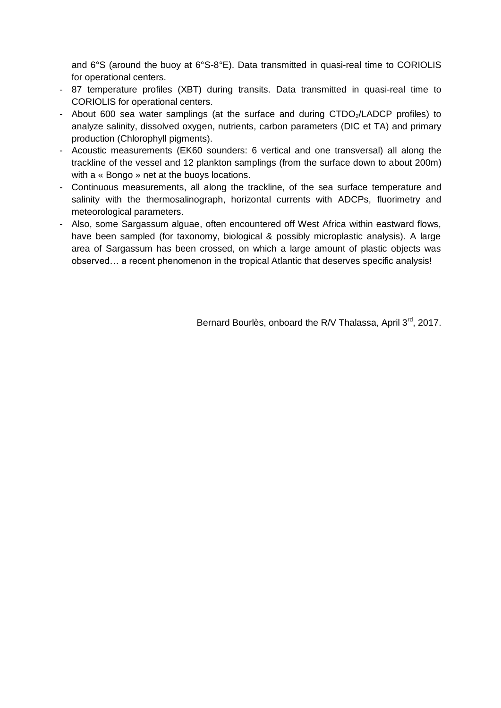and 6°S (around the buoy at 6°S-8°E). Data transmitted in quasi-real time to CORIOLIS for operational centers.

- 87 temperature profiles (XBT) during transits. Data transmitted in quasi-real time to CORIOLIS for operational centers.
- About 600 sea water samplings (at the surface and during CTDO<sub>2</sub>/LADCP profiles) to analyze salinity, dissolved oxygen, nutrients, carbon parameters (DIC et TA) and primary production (Chlorophyll pigments).
- Acoustic measurements (EK60 sounders: 6 vertical and one transversal) all along the trackline of the vessel and 12 plankton samplings (from the surface down to about 200m) with a « Bongo » net at the buoys locations.
- Continuous measurements, all along the trackline, of the sea surface temperature and salinity with the thermosalinograph, horizontal currents with ADCPs, fluorimetry and meteorological parameters.
- Also, some Sargassum alguae, often encountered off West Africa within eastward flows, have been sampled (for taxonomy, biological & possibly microplastic analysis). A large area of Sargassum has been crossed, on which a large amount of plastic objects was observed… a recent phenomenon in the tropical Atlantic that deserves specific analysis!

Bernard Bourlès, onboard the R/V Thalassa, April 3<sup>rd</sup>, 2017.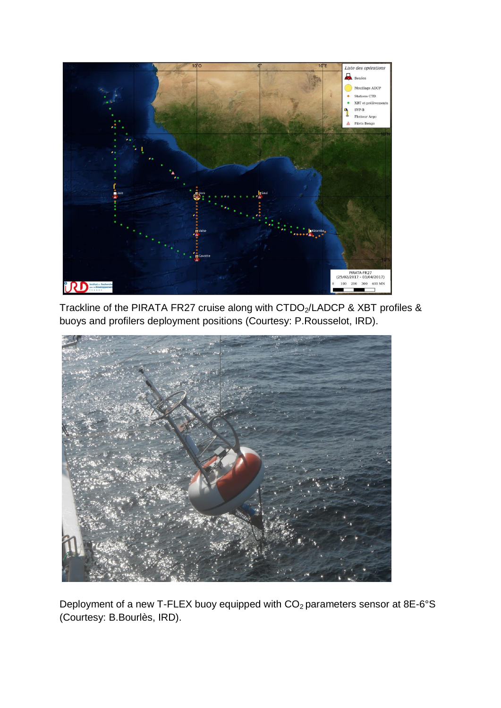

Trackline of the PIRATA FR27 cruise along with CTDO<sub>2</sub>/LADCP & XBT profiles & buoys and profilers deployment positions (Courtesy: P.Rousselot, IRD).



Deployment of a new T-FLEX buoy equipped with  $CO<sub>2</sub>$  parameters sensor at 8E-6°S (Courtesy: B.Bourlès, IRD).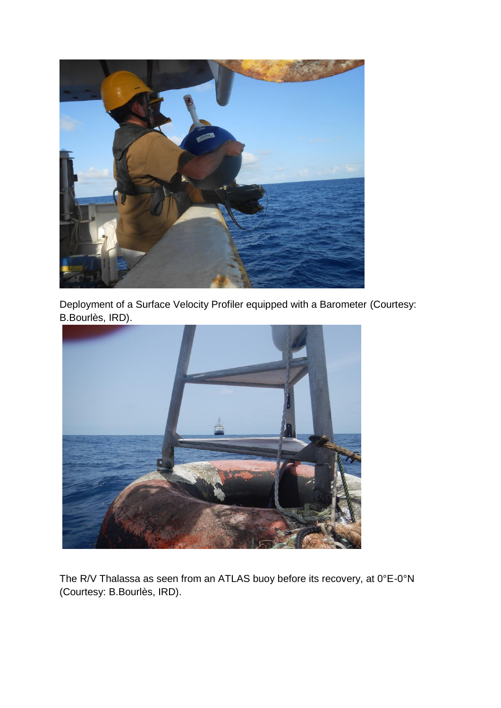

Deployment of a Surface Velocity Profiler equipped with a Barometer (Courtesy: B.Bourlès, IRD).



The R/V Thalassa as seen from an ATLAS buoy before its recovery, at 0°E-0°N (Courtesy: B.Bourlès, IRD).